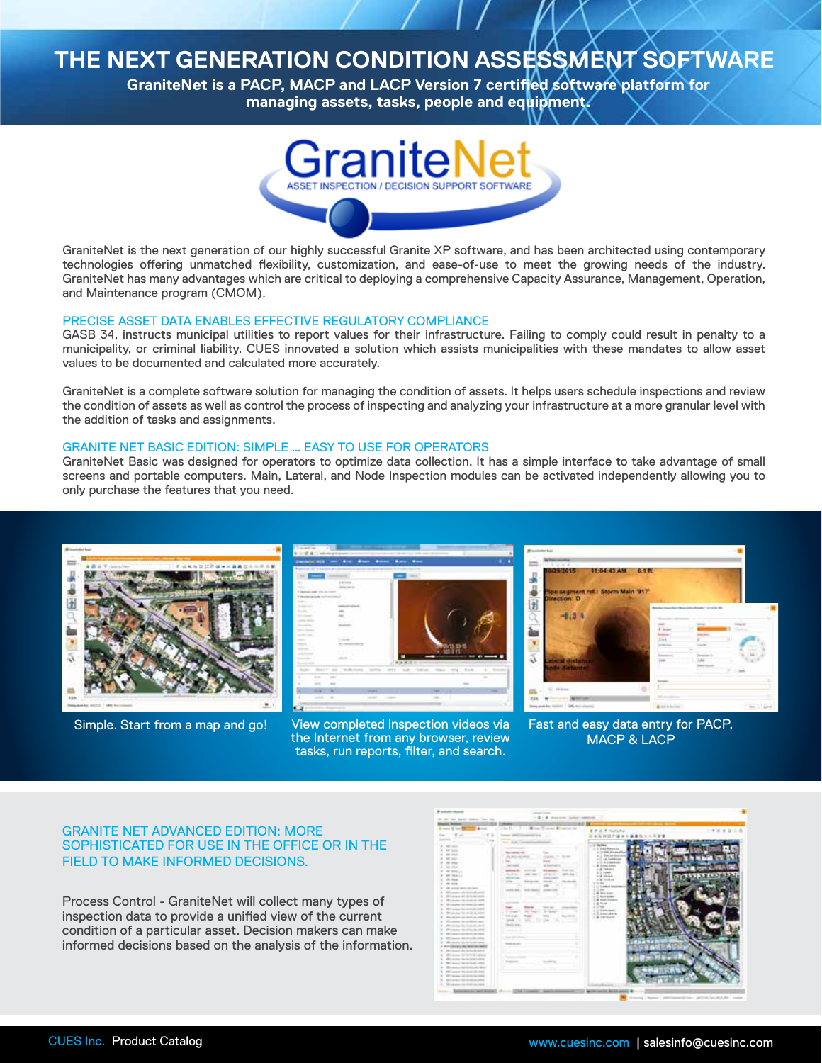# **THE NEXT GENERATION CONDITION ASSESSMENT SOFTWARE**<br>GraniteNet is a PACP, MACP and LACP Version 7 certified software platform for

**GraniteNet is a PACP, MACP and LACP Version 7 certified software platform for managing assets, tasks, people and equipment.**



GraniteNet is the next generation of our highly successful Granite XP software, and has been architected using contemporary technologies offering unmatched flexibility, customization, and ease-of-use to meet the growing needs of the industry. GraniteNet has many advantages which are critical to deploying a comprehensive Capacity Assurance, Management, Operation, and Maintenance program (CMOM).

### PRECISE ASSET DATA ENABLES EFFECTIVE REGULATORY COMPLIANCE

GASB 34, instructs municipal utilities to report values for their infrastructure. Failing to comply could result in penalty to a municipality, or criminal liability. CUES innovated a solution which assists municipalities with these mandates to allow asset values to be documented and calculated more accurately.

GraniteNet is a complete software solution for managing the condition of assets. It helps users schedule inspections and review the condition of assets as well as control the process of inspecting and analyzing your infrastructure at a more granular level with the addition of tasks and assignments.

#### GRANITE NET BASIC EDITION: SIMPLE … EASY TO USE FOR OPERATORS

GraniteNet Basic was designed for operators to optimize data collection. It has a simple interface to take advantage of small screens and portable computers. Main, Lateral, and Node Inspection modules can be activated independently allowing you to only purchase the features that you need.





Simple. Start from a map and go! View completed inspection videos via the Internet from any browser, review tasks, run reports, filter, and search.



Fast and easy data entry for PACP, MACP & LACP

# GRANITE NET ADVANCED EDITION: MORE SOPHISTICATED FOR USE IN THE OFFICE OR IN THE FIELD TO MAKE INFORMED DECISIONS.

Process Control - GraniteNet will collect many types of inspection data to provide a unified view of the current condition of a particular asset. Decision makers can make informed decisions based on the analysis of the information.